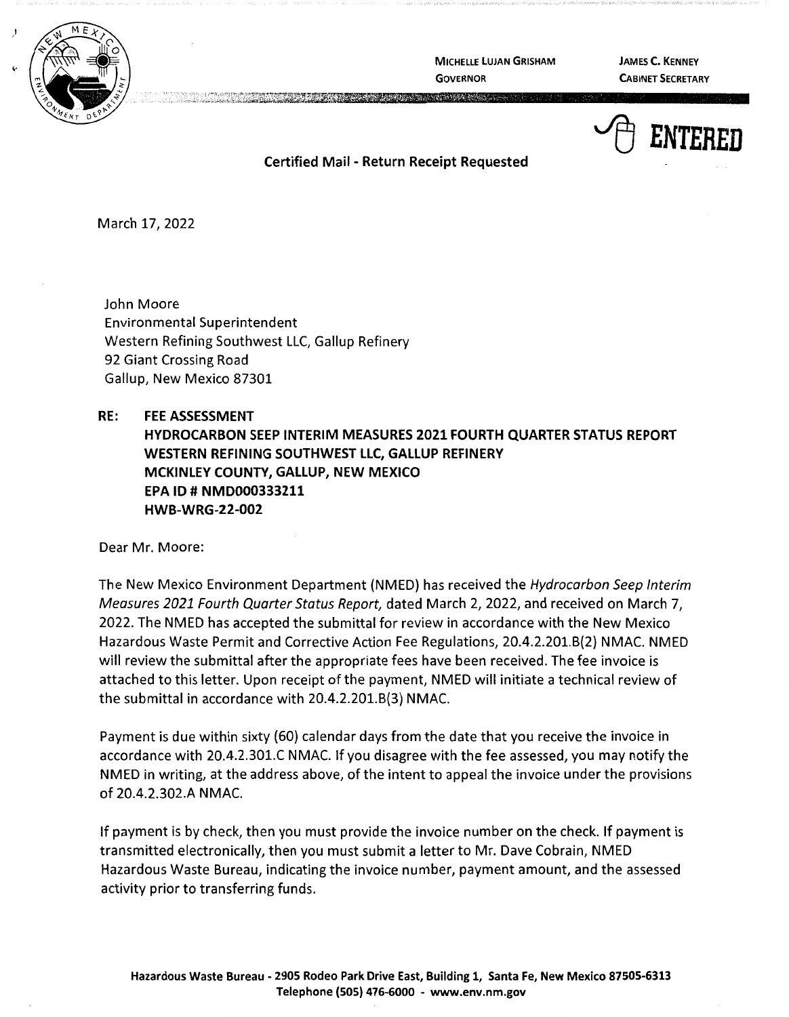

**MICHELLE LUJAN GRISHAM GOVERNOR** 

**JAMES C. KENNEY CABINET SECRETARY** 



**Certified Mail** - **Return Receipt Requested** 

**CONTRACTOR** 

March 17, 2022

John Moore Environmental Superintendent Western Refining Southwest LLC, Gallup Refinery 92 Giant Crossing Road Gallup, New Mexico 87301

**RE: FEE ASSESSMENT HYDROCARBON SEEP INTERIM MEASURES 2021 FOURTH QUARTER STATUS REPORT WESTERN REFINING SOUTHWEST LLC, GALLUP REFINERY MCKINLEY COUNTY, GALLUP, NEW MEXICO EPA ID# NMD000333211 HWB-WRG-22-002** 

Dear Mr. Moore:

The New Mexico Environment Department (NMED) has received the Hydrocarbon Seep Interim Measures 2021 Fourth Quarter Status Report, dated March 2, 2022, and received on March 7, 2022. The NMED has accepted the submittal for review in accordance with the New Mexico Hazardous Waste Permit and Corrective Action Fee Regulations, 20.4.2.201.8(2) NMAC. NMED will review the submittal after the appropriate fees have been received. The fee invoice is attached to this letter. Upon receipt of the payment, NMED will initiate a technical review of the submittal in accordance with 20.4.2.201.8(3) NMAC.

Payment is due within sixty (60) calendar days from the date that you receive the invoice in accordance with 20.4.2.301.C NMAC. If you disagree with the fee assessed, you may notify the NMED in writing, at the address above, of the intent to appeal the invoice under the provisions of 20.4.2.302.A NMAC.

If payment is by check, then you must provide the invoice number on the check. If payment is transmitted electronically, then you must submit a letter to Mr. Dave Cobrain, NMED Hazardous Waste Bureau, indicating the invoice number, payment amount, and the assessed activity prior to transferring funds.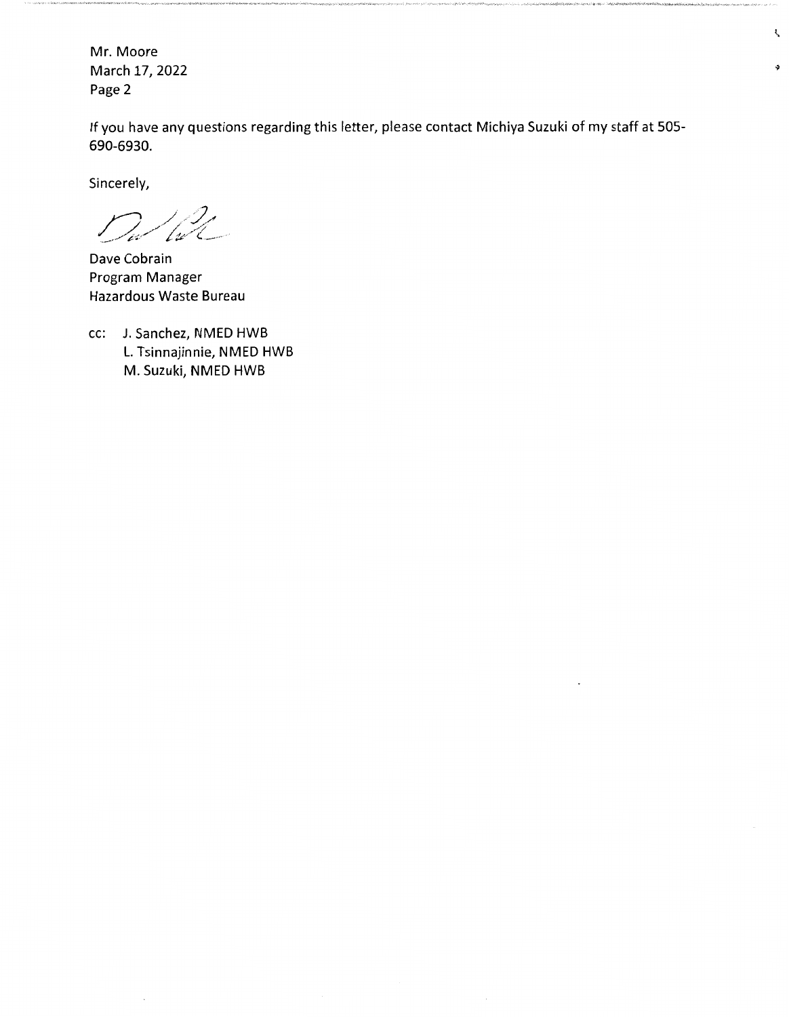Mr. Moore March 17, 2022 Page 2

If you have any questions regarding this letter, please contact Michiya Suzuki of my staff at 505- 690-6930.

ţ.

 $\ddot{\bullet}$ 

Sincerely,

Will  $\overline{\phantom{a}}$ 

Dave Cobrain Program Manager Hazardous Waste Bureau

cc: J. Sanchez, NMED HWB L. Tsinnajinnie, NMED HWB M. Suzuki, NMED HWB